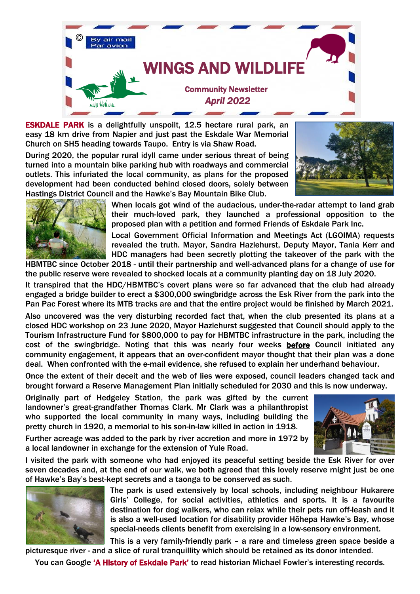

ESKDALE PARK is a delightfully unspoilt, 12.5 hectare rural park, an easy 18 km drive from Napier and just past the Eskdale War Memorial Church on SH5 heading towards Taupo. Entry is via Shaw Road.

During 2020, the popular rural idyll came under serious threat of being turned into a mountain bike parking hub with roadways and commercial outlets. This infuriated the local community, as plans for the proposed development had been conducted behind closed doors, solely between Hastings District Council and the Hawke's Bay Mountain Bike Club.





When locals got wind of the audacious, under-the-radar attempt to land grab their much-loved park, they launched a professional opposition to the proposed plan with a petition and formed Friends of Eskdale Park Inc.

Local Government Official Information and Meetings Act (LGOIMA) requests revealed the truth. Mayor, Sandra Hazlehurst, Deputy Mayor, Tania Kerr and HDC managers had been secretly plotting the takeover of the park with the HBMTBC since October 2018 - until their partnership and well-advanced plans for a change of use for

the public reserve were revealed to shocked locals at a community planting day on 18 July 2020.

It transpired that the HDC/HBMTBC's covert plans were so far advanced that the club had already engaged a bridge builder to erect a \$300,000 swingbridge across the Esk River from the park into the Pan Pac Forest where its MTB tracks are and that the entire project would be finished by March 2021.

Also uncovered was the very disturbing recorded fact that, when the club presented its plans at a closed HDC workshop on 23 June 2020, Mayor Hazlehurst suggested that Council should apply to the Tourism Infrastructure Fund for \$800,000 to pay for HBMTBC infrastructure in the park, including the cost of the swingbridge. Noting that this was nearly four weeks before Council initiated any community engagement, it appears that an over-confident mayor thought that their plan was a done deal. When confronted with the e-mail evidence, she refused to explain her underhand behaviour.

Once the extent of their deceit and the web of lies were exposed, council leaders changed tack and brought forward a Reserve Management Plan initially scheduled for 2030 and this is now underway.

Originally part of Hedgeley Station, the park was gifted by the current landowner's great-grandfather Thomas Clark. Mr Clark was a philanthropist who supported the local community in many ways, including building the pretty church in 1920, a memorial to his son-in-law killed in action in 1918.

Further acreage was added to the park by river accretion and more in 1972 by a local landowner in exchange for the extension of Yule Road.

I visited the park with someone who had enjoyed its peaceful setting beside the Esk River for over seven decades and, at the end of our walk, we both agreed that this lovely reserve might just be one of Hawke's Bay's best-kept secrets and a taonga to be conserved as such.



The park is used extensively by local schools, including neighbour Hukarere Girls' College, for social activities, athletics and sports. It is a favourite destination for dog walkers, who can relax while their pets run off-leash and it is also a well-used location for disability provider Hōhepa Hawke's Bay, whose special-needs clients benefit from exercising in a low-sensory environment.

This is a very family-friendly park – a rare and timeless green space beside a picturesque river - and a slice of rural tranquillity which should be retained as its donor intended.

You can Google 'A History of Eskdale Park' to read historian Michael Fowler's interesting records.

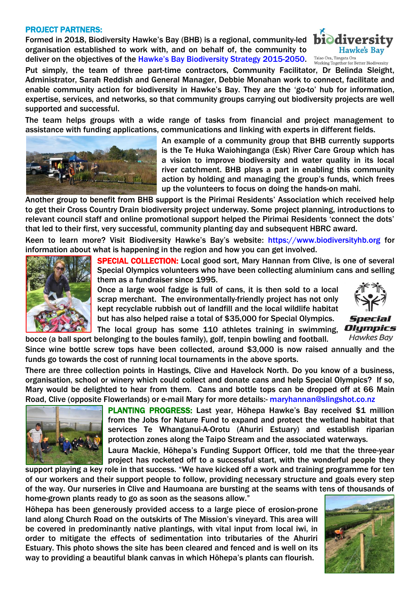## PROJECT PARTNERS:

Formed in 2018, Biodiversity Hawke's Bay (BHB) is a regional, community-led organisation established to work with, and on behalf of, the community to deliver on the objectives of the [Hawke's Bay Biodiversity Strategy 2015](https://www.biodiversityhb.org/what-is-biodiversity/biodiversity-strategy/)-2050. Taiao Ora, Tangata Ora



Put simply, the team of three part-time contractors, Community Facilitator, Dr Belinda Sleight, Administrator, Sarah Reddish and General Manager, Debbie Monahan work to connect, facilitate and enable community action for biodiversity in Hawke's Bay. They are the 'go-to' hub for information, expertise, services, and networks, so that community groups carrying out biodiversity projects are well supported and successful.

The team helps groups with a wide range of tasks from financial and project management to assistance with funding applications, communications and linking with experts in different fields.



An example of a community group that BHB currently supports is the Te Huka Waiohinganga (Esk) River Care Group which has a vision to improve biodiversity and water quality in its local river catchment. BHB plays a part in enabling this community action by holding and managing the group's funds, which frees up the volunteers to focus on doing the hands-on mahi.

Another group to benefit from BHB support is the Pirimai Residents' Association which received help to get their Cross Country Drain biodiversity project underway. Some project planning, introductions to relevant council staff and online promotional support helped the Pirimai Residents 'connect the dots' that led to their first, very successful, community planting day and subsequent HBRC award.

Keen to learn more? Visit Biodiversity Hawke's Bay's website: [https://www.biodiversityhb.org](https://www.biodiversityhb.org/) for information about what is happening in the region and how you can get involved.



SPECIAL COLLECTION: Local good sort, Mary Hannan from Clive, is one of several Special Olympics volunteers who have been collecting aluminium cans and selling them as a fundraiser since 1995.

Once a large wool fadge is full of cans, it is then sold to a local scrap merchant. The environmentally-friendly project has not only kept recyclable rubbish out of landfill and the local wildlife habitat but has also helped raise a total of \$35,000 for Special Olympics.



Special Olympics **Hawkes Bay** 

The local group has some 110 athletes training in swimming, bocce (a ball sport belonging to the boules family), golf, tenpin bowling and football.

Since wine bottle screw tops have been collected, around \$3,000 is now raised annually and the funds go towards the cost of running local tournaments in the above sports.

There are three collection points in Hastings, Clive and Havelock North. Do you know of a business, organisation, school or winery which could collect and donate cans and help Special Olympics? If so, Mary would be delighted to hear from them. Cans and bottle tops can be dropped off at 66 Main Road, Clive (opposite Flowerlands) or e-mail Mary for more details:- [maryhannan@slingshot.co.nz](mailto:maryhannan@slingshot.co.nz)



PLANTING PROGRESS: Last year, Hōhepa Hawke's Bay received \$1 million from the Jobs for Nature Fund to expand and protect the wetland habitat that services Te Whanganui-A-Orotu (Ahuriri Estuary) and establish riparian protection zones along the Taipo Stream and the associated waterways.

Laura Mackie, Hōhepa's Funding Support Officer, told me that the three-year project has rocketed off to a successful start, with the wonderful people they

support playing a key role in that success. "We have kicked off a work and training programme for ten of our workers and their support people to follow, providing necessary structure and goals every step of the way. Our nurseries in Clive and Haumoana are bursting at the seams with tens of thousands of home-grown plants ready to go as soon as the seasons allow."

Hōhepa has been generously provided access to a large piece of erosion-prone land along Church Road on the outskirts of The Mission's vineyard. This area will be covered in predominantly native plantings, with vital input from local iwi, in order to mitigate the effects of sedimentation into tributaries of the Ahuriri Estuary. This photo shows the site has been cleared and fenced and is well on its way to providing a beautiful blank canvas in which Hōhepa's plants can flourish.

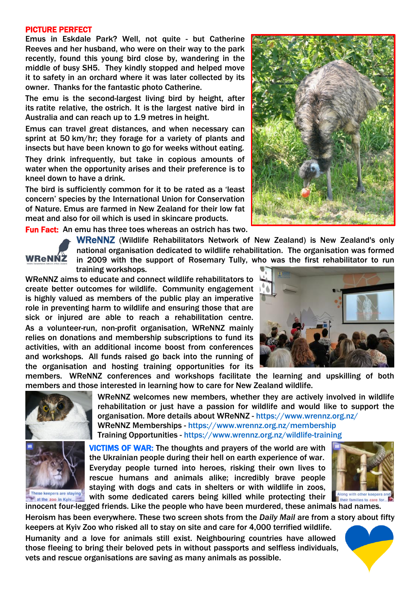## PICTURE PERFECT

Emus in Eskdale Park? Well, not quite - but Catherine Reeves and her husband, who were on their way to the park recently, found this young bird close by, wandering in the middle of busy SH5. They kindly stopped and helped move it to safety in an orchard where it was later collected by its owner. Thanks for the fantastic photo Catherine.

The emu is the second-largest living bird by height, after its ratite relative, the ostrich. It is the largest native bird in Australia and can reach up to 1.9 metres in height.

Emus can travel great distances, and when necessary can sprint at 50 km/hr; they forage for a variety of plants and insects but have been known to go for weeks without eating. They drink infrequently, but take in copious amounts of water when the opportunity arises and their preference is to kneel down to have a drink.

The bird is sufficiently common for it to be rated as a 'least concern' species by the International Union for Conservation of Nature. Emus are farmed in New Zealand for their low fat meat and also for oil which is used in skincare products.

Fun Fact: An emu has three toes whereas an ostrich has two.



WReNNZ (Wildlife Rehabilitators Network of New Zealand) is New Zealand's only national organisation dedicated to wildlife rehabilitation. The organisation was formed in 2009 with the support of Rosemary Tully, who was the first rehabilitator to run training workshops.

WReNNZ aims to educate and connect wildlife rehabilitators to create better outcomes for wildlife. Community engagement is highly valued as members of the public play an imperative role in preventing harm to wildlife and ensuring those that are sick or injured are able to reach a rehabilitation centre. As a volunteer-run, non-profit organisation, WReNNZ mainly relies on donations and membership subscriptions to fund its activities, with an additional income boost from conferences and workshops. All funds raised go back into the running of the organisation and hosting training opportunities for its

members. WReNNZ conferences and workshops facilitate the learning and upskilling of both members and those interested in learning how to care for New Zealand wildlife.





at the zoo in Kyiv...

WReNNZ welcomes new members, whether they are actively involved in wildlife rehabilitation or just have a passion for wildlife and would like to support the organisation. More details about WReNNZ - <https://www.wrennz.org.nz/> WReNNZ Memberships - <https://www.wrennz.org.nz/membership> Training Opportunities - <https://www.wrennz.org.nz/wildlife-training>

VICTIMS OF WAR: The thoughts and prayers of the world are with the Ukrainian people during their hell on earth experience of war. Everyday people turned into heroes, risking their own lives to rescue humans and animals alike; incredibly brave people staying with dogs and cats in shelters or with wildlife in zoos, with some dedicated carers being killed while protecting their **The act he zoo in Kylv....** WITH SOME dedicated carers being killed while protecting them and mainles to care for<br>innocent four-legged friends. Like the people who have been murdered, these animals had names.



Heroism has been everywhere. These two screen shots from the *Daily Mail* are from a story about fifty

keepers at Kyiv Zoo who risked all to stay on site and care for 4,000 terrified wildlife. Humanity and a love for animals still exist. Neighbouring countries have allowed those fleeing to bring their beloved pets in without passports and selfless individuals, vets and rescue organisations are saving as many animals as possible.